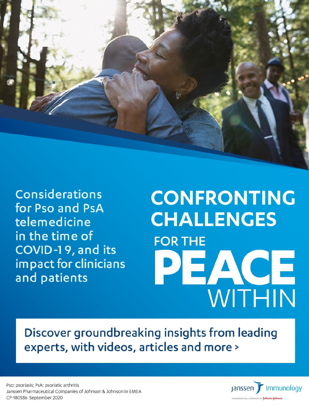

**Considerations** for Pso and PsA telemedicine in the time of COVID-19, and its impact for clinicians and patients

# **CONFRONTING CHALLENGES FOR THE** PEACE WITHIN

Discover groundbreaking insights from leading experts, with videos, articles and more >

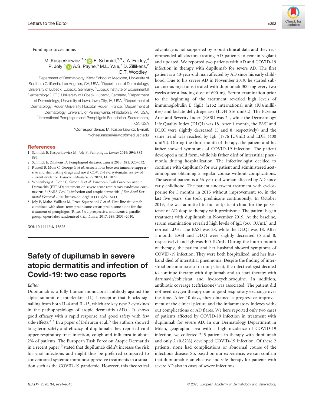Funding sources: none.

M. Kasperkiewicz, $1, *$  $1, *$  **E.** Schmidt,<sup>2,3</sup> J.A. Fairley,<sup>4</sup> P. Joly,<sup>[5](https://orcid.org/0000-0002-5734-0255)</sup> D A.S. Payne,<sup>6</sup> M.L. Yale,<sup>7</sup> D. Zillikens,<sup>2</sup> D.T. Woodley<sup>1</sup>

<sup>1</sup>Department of Dermatology, Keck School of Medicine, University of Southern California, Los Angeles, CA, USA, <sup>2</sup>Department of Dermatology, University of Lübeck, Lübeck, Germany, <sup>3</sup>Lübeck Institute of Experimental Dermatology (LIED), University of Lübeck, Lübeck, Germany, <sup>4</sup>Department of Dermatology, University of Iowa, Iowa City, IA, USA, <sup>5</sup>Department of Dermatology, Rouen University Hospital, Rouen, France, <sup>6</sup>Department of Dermatology, University of Pennsylvania, Philadelphia, PA, USA, <sup>7</sup>International Pemphigus and Pemphigoid Foundation, Sacramento, CA, USA \*Correspondence: M. Kasperkiewicz. E-mail:

[michael.kasperkiewicz@med.usc.edu](mailto:)

#### **References**

- 1 Schmidt E, Kasperkiewicz M, Joly P. Pemphigus. Lancet 2019; 394: 882– 894.
- 2 Schmidt E, Zillikens D. Pemphigoid diseases. Lancet 2013; 381: 320–332.
- 3 Russell B, Moss C, George G et al. Associations between immune-suppressive and stimulating drugs and novel COVID-19-a systematic review of current evidence. Ecancermedicalscience 2020; 14: 1022.
- 4 Wollenberg A, Flohr C, Simon D et al. European Task Force on Atopic Dermatitis (ETFAD) statement on severe acute respiratory syndrome coronavirus 2 (SARS-Cov-2)-infection and atopic dermatitis. J Eur Acad Dermatol Venereol 2020.<https://doi.org/10.1111/jdv.16411>
- 5 Joly P, Maho-Vaillant M, Prost-Squarcioni C et al. First-line rituximab combined with short-term prednisone versus prednisone alone for the treatment of pemphigus (Ritux 3): a prospective, multicentre, parallelgroup, open-label randomised trial. Lancet 2017; 389: 2031–2040.

DOI: 10.1111/jdv.16525

# Safety of dupilumab in severe atopic dermatitis and infection of Covid-19: two case reports

#### Editor

Dupilumab is a fully human monoclonal antibody against the alpha subunit of interleukin (IL)-4 receptor that blocks signalling from both IL-4 and IL-13, which are key type 2 cytokines in the pathophysiology of atopic dermatitis  $(AD).$ <sup>1</sup> It shows good efficacy with a rapid response and good safety with few side-effects.<sup>2–8</sup> In a paper of Deleuran et al., $9$  the authors showed long-term safety and efficacy of dupilumab; they reported viral upper respiratory tract infection, cough and influenza in about 2% of patients. The European Task Force on Atopic Dermatitis in a recent paper $^{10}$  stated that dupilumab didn't increase the risk for viral infections and might thus be preferred compared to conventional systemic immunosuppressive treatments in a situation such as the COVID-19 pandemic. However, this theoretical advantage is not supported by robust clinical data and they recommended all doctors treating AD patients to remain vigilant and updated. We reported two patients with AD and COVID-19 infection in therapy with dupilumab for severe AD. The first patient is a 40-year-old man affected by AD since his early childhood. Due to his severe AD in November 2019, he started subcutaneous injections treated with dupilumab 300 mg every two weeks after a loading dose of 600 mg. Serum examination prior to the beginning of the treatment revealed high levels of immunoglobulin E (IgE) (2152 international unit (IU)/millilitre) and lactate dehydrogenase (LDH 516 unit/L). The Eczema Area and Severity Index (EASI) was 24, while the Dermatology Life Quality Index (DLQI) was 18. After 1 month, the EASI and DLQI were slightly decreased (5 and 8, respectively) and the same trend was reached by IgE (1776 IU/mL) and LDH (400 unit/L). During the third month of therapy, the patient and his father showed symptoms of COVID-19 infection. The patient developed a mild form, while his father died of interstitial pneumonia during hospitalization. The infectivologist decided to continue with dupilumab for our patient and administered acetaminophen obtaining a regular course without complications. The second patient is a 56-year-old woman affected by AD since early childhood. The patient underwent treatment with cyclosporine for 5 months in 2015 without improvement; so, in the last five years, she took prednisone continuously. In October 2019, she was admitted to our outpatient clinic for the persistence of AD despite therapy with prednisone. The patient began treatment with dupilumab in November 2019. At the baseline, serum examination revealed high levels of IgE (560 IU/mL) and normal LDH. The EASI was 28, while the DLQI was 18. After 1 month, EASI and DLQI were slightly decreased (5 and 8, respectively) and IgE was 400 IU/mL. During the fourth month of therapy, the patient and her husband showed symptoms of COVID-19 infection. They were both hospitalized, and her husband died of interstitial pneumonia. Despite the finding of interstitial pneumonia also in our patient, the infectivologist decided to continue therapy with dupilumab and to start therapy with darunavir/cobicistat and hydroxychloroquine. In addition, antibiotic coverage (ceftriaxone) was associated. The patient did not need oxygen therapy due to good respiratory exchange over the time. After 10 days, they obtained a progressive improvement of the clinical picture and the inflammatory indexes without complications or AD flares. We here reported only two cases of patients affected by COVID-19 infection in treatment with dupilumab for severe AD. In our Dermatology Department in Milan, geographic area with a high incidence of COVID-19 infection, we collected 245 patients in therapy with dupilumab and only 2 (0.82%) developed COVID-19 infection. Of these 2 patients, none had complications or abnormal course of the infectious disease. So, based on our experience, we can confirm that dupilumab is an effective and safe therapy for patients with severe AD also in cases of severe infections.